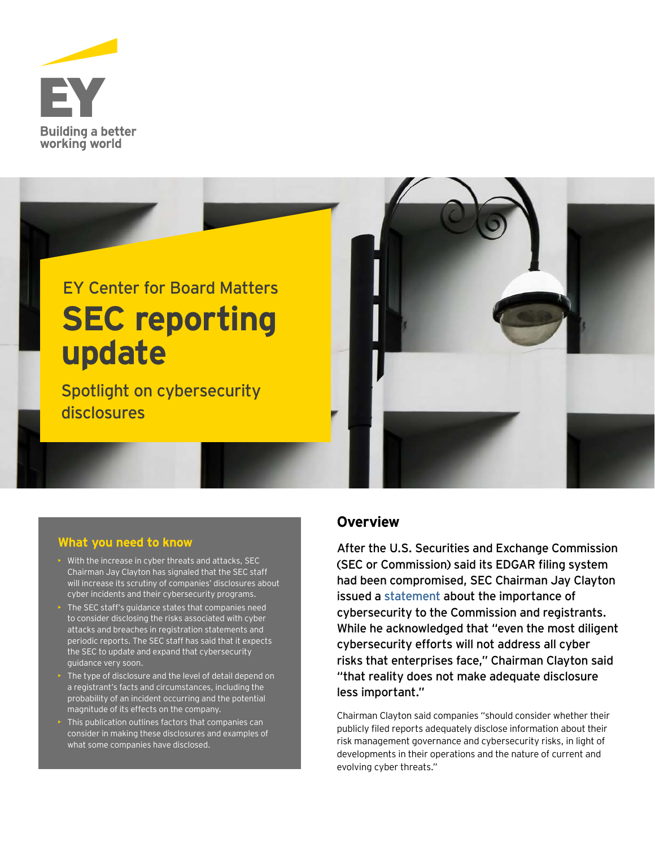

# **SEC reporting update** EY Center for Board Matters

Spotlight on cybersecurity disclosures



#### **What you need to know**

- With the increase in cyber threats and attacks, SEC Chairman Jay Clayton has signaled that the SEC staff will increase its scrutiny of companies' disclosures about cyber incidents and their cybersecurity programs.
- The SEC staff's guidance states that companies need to consider disclosing the risks associated with cyber attacks and breaches in registration statements and periodic reports. The SEC staff has said that it expects the SEC to update and expand that cybersecurity guidance very soon.
- The type of disclosure and the level of detail depend on a registrant's facts and circumstances, including the probability of an incident occurring and the potential magnitude of its effects on the company.
- This publication outlines factors that companies can consider in making these disclosures and examples of what some companies have disclosed.

# **Overview**

After the U.S. Securities and Exchange Commission (SEC or Commission) said its EDGAR filing system had been compromised, SEC Chairman Jay Clayton issued a [statement](https://www.sec.gov/news/public-statement/statement-clayton-2017-09-20) about the importance of cybersecurity to the Commission and registrants. While he acknowledged that "even the most diligent cybersecurity efforts will not address all cyber risks that enterprises face," Chairman Clayton said "that reality does not make adequate disclosure less important."

Chairman Clayton said companies "should consider whether their publicly filed reports adequately disclose information about their risk management governance and cybersecurity risks, in light of developments in their operations and the nature of current and evolving cyber threats."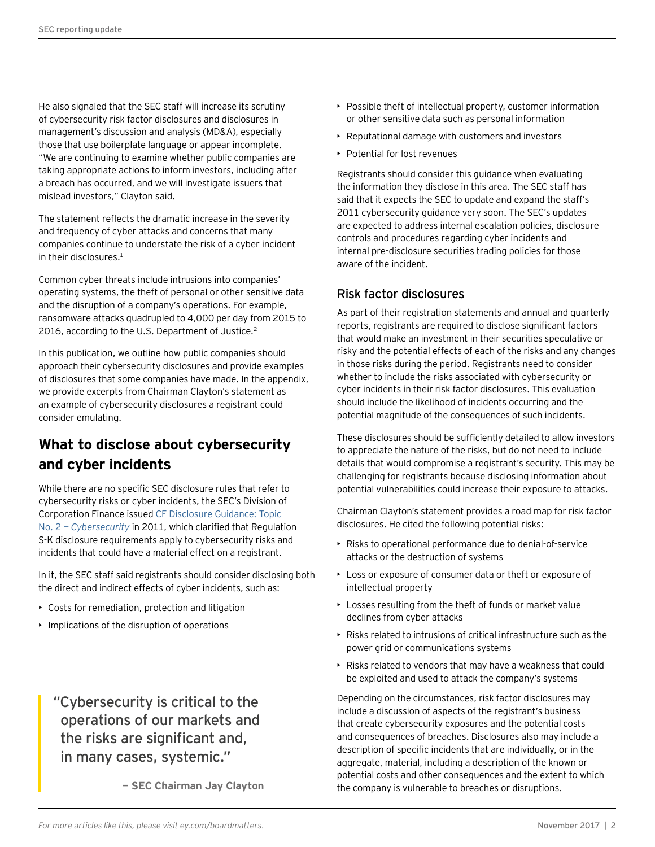He also signaled that the SEC staff will increase its scrutiny of cybersecurity risk factor disclosures and disclosures in management's discussion and analysis (MD&A), especially those that use boilerplate language or appear incomplete. "We are continuing to examine whether public companies are taking appropriate actions to inform investors, including after a breach has occurred, and we will investigate issuers that mislead investors," Clayton said.

The statement reflects the dramatic increase in the severity and frequency of cyber attacks and concerns that many companies continue to understate the risk of a cyber incident in their disclosures.<sup>1</sup>

Common cyber threats include intrusions into companies' operating systems, the theft of personal or other sensitive data and the disruption of a company's operations. For example, ransomware attacks quadrupled to 4,000 per day from 2015 to 2016, according to the U.S. Department of Justice.<sup>2</sup>

In this publication, we outline how public companies should approach their cybersecurity disclosures and provide examples of disclosures that some companies have made. In the appendix, we provide excerpts from Chairman Clayton's statement as an example of cybersecurity disclosures a registrant could consider emulating.

# **What to disclose about cybersecurity and cyber incidents**

While there are no specific SEC disclosure rules that refer to cybersecurity risks or cyber incidents, the SEC's Division of Corporation Finance issued [CF Disclosure Guidance: Topic](http://www.sec.gov/divisions/corpfin/guidance/cfguidance-topic2.htm)  No. 2 — *[Cybersecurity](http://www.sec.gov/divisions/corpfin/guidance/cfguidance-topic2.htm)* in 2011, which clarified that Regulation S-K disclosure requirements apply to cybersecurity risks and incidents that could have a material effect on a registrant.

In it, the SEC staff said registrants should consider disclosing both the direct and indirect effects of cyber incidents, such as:

- Costs for remediation, protection and litigation
- Implications of the disruption of operations

# "Cybersecurity is critical to the operations of our markets and the risks are significant and, in many cases, systemic."

**— SEC Chairman Jay Clayton**

- Possible theft of intellectual property, customer information or other sensitive data such as personal information
- Reputational damage with customers and investors
- Potential for lost revenues

Registrants should consider this guidance when evaluating the information they disclose in this area. The SEC staff has said that it expects the SEC to update and expand the staff's 2011 cybersecurity guidance very soon. The SEC's updates are expected to address internal escalation policies, disclosure controls and procedures regarding cyber incidents and internal pre-disclosure securities trading policies for those aware of the incident.

# Risk factor disclosures

As part of their registration statements and annual and quarterly reports, registrants are required to disclose significant factors that would make an investment in their securities speculative or risky and the potential effects of each of the risks and any changes in those risks during the period. Registrants need to consider whether to include the risks associated with cybersecurity or cyber incidents in their risk factor disclosures. This evaluation should include the likelihood of incidents occurring and the potential magnitude of the consequences of such incidents.

These disclosures should be sufficiently detailed to allow investors to appreciate the nature of the risks, but do not need to include details that would compromise a registrant's security. This may be challenging for registrants because disclosing information about potential vulnerabilities could increase their exposure to attacks.

Chairman Clayton's statement provides a road map for risk factor disclosures. He cited the following potential risks:

- Risks to operational performance due to denial-of-service attacks or the destruction of systems
- Loss or exposure of consumer data or theft or exposure of intellectual property
- Losses resulting from the theft of funds or market value declines from cyber attacks
- Risks related to intrusions of critical infrastructure such as the power grid or communications systems
- Risks related to vendors that may have a weakness that could be exploited and used to attack the company's systems

Depending on the circumstances, risk factor disclosures may include a discussion of aspects of the registrant's business that create cybersecurity exposures and the potential costs and consequences of breaches. Disclosures also may include a description of specific incidents that are individually, or in the aggregate, material, including a description of the known or potential costs and other consequences and the extent to which the company is vulnerable to breaches or disruptions.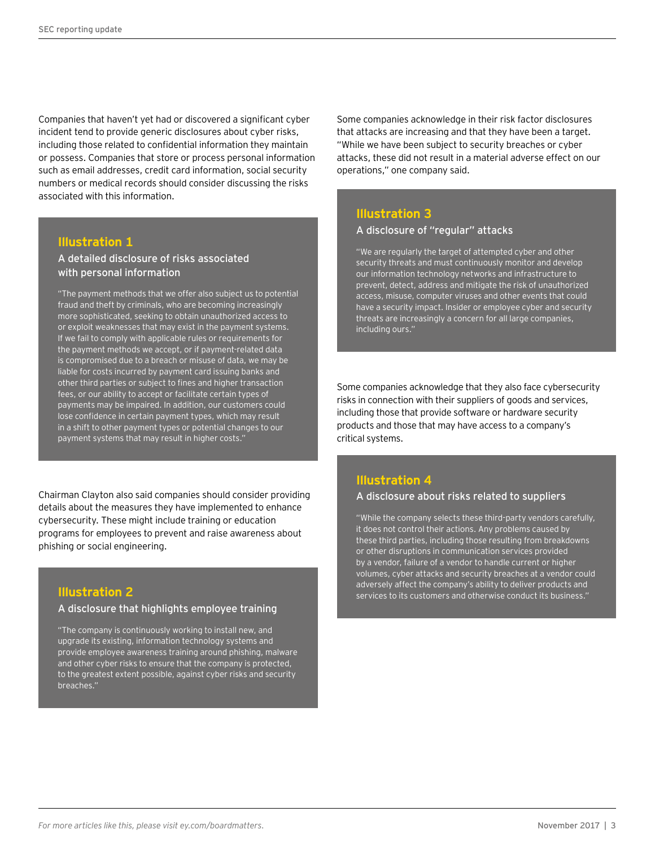Companies that haven't yet had or discovered a significant cyber incident tend to provide generic disclosures about cyber risks, including those related to confidential information they maintain or possess. Companies that store or process personal information such as email addresses, credit card information, social security numbers or medical records should consider discussing the risks associated with this information.

#### **Illustration 1**

#### A detailed disclosure of risks associated with personal information

"The payment methods that we offer also subject us to potential fraud and theft by criminals, who are becoming increasingly more sophisticated, seeking to obtain unauthorized access to or exploit weaknesses that may exist in the payment systems. If we fail to comply with applicable rules or requirements for the payment methods we accept, or if payment-related data is compromised due to a breach or misuse of data, we may be liable for costs incurred by payment card issuing banks and other third parties or subject to fines and higher transaction fees, or our ability to accept or facilitate certain types of payments may be impaired. In addition, our customers could lose confidence in certain payment types, which may result in a shift to other payment types or potential changes to our payment systems that may result in higher costs."

Chairman Clayton also said companies should consider providing details about the measures they have implemented to enhance cybersecurity. These might include training or education programs for employees to prevent and raise awareness about phishing or social engineering.

#### **Illustration 2**

#### A disclosure that highlights employee training

"The company is continuously working to install new, and upgrade its existing, information technology systems and provide employee awareness training around phishing, malware and other cyber risks to ensure that the company is protected, to the greatest extent possible, against cyber risks and security breaches."

Some companies acknowledge in their risk factor disclosures that attacks are increasing and that they have been a target. "While we have been subject to security breaches or cyber attacks, these did not result in a material adverse effect on our operations," one company said.

### **Illustration 3**

#### A disclosure of "regular" attacks

"We are regularly the target of attempted cyber and other security threats and must continuously monitor and develop our information technology networks and infrastructure to prevent, detect, address and mitigate the risk of unauthorized access, misuse, computer viruses and other events that could have a security impact. Insider or employee cyber and security threats are increasingly a concern for all large companies, including ours."

Some companies acknowledge that they also face cybersecurity risks in connection with their suppliers of goods and services, including those that provide software or hardware security products and those that may have access to a company's critical systems.

#### **Illustration 4**

#### A disclosure about risks related to suppliers

"While the company selects these third-party vendors carefully, it does not control their actions. Any problems caused by these third parties, including those resulting from breakdowns or other disruptions in communication services provided by a vendor, failure of a vendor to handle current or higher volumes, cyber attacks and security breaches at a vendor could adversely affect the company's ability to deliver products and services to its customers and otherwise conduct its business."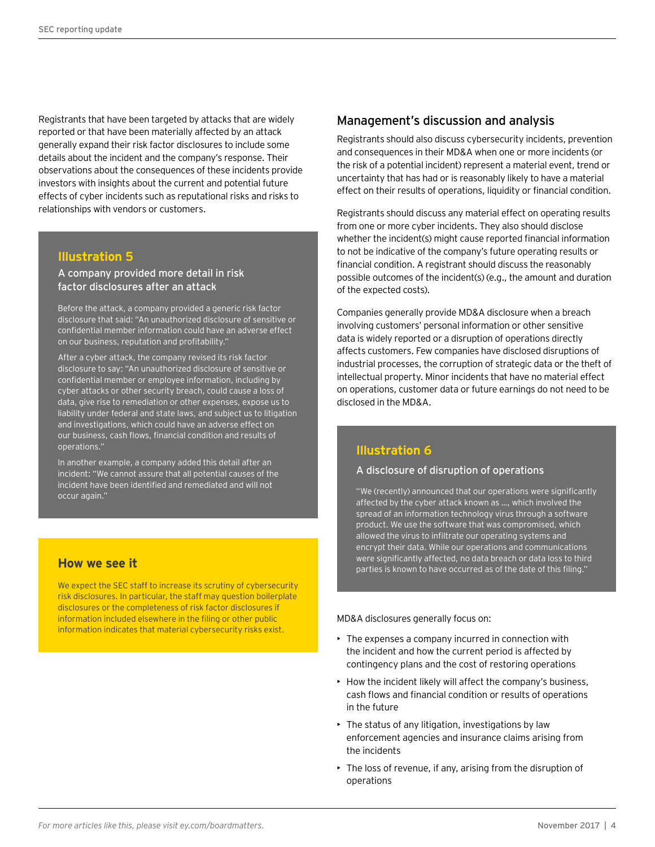Registrants that have been targeted by attacks that are widely reported or that have been materially affected by an attack generally expand their risk factor disclosures to include some details about the incident and the company's response. Their observations about the consequences of these incidents provide investors with insights about the current and potential future effects of cyber incidents such as reputational risks and risks to relationships with vendors or customers.

#### **Illustration 5**

A company provided more detail in risk factor disclosures after an attack

Before the attack, a company provided a generic risk factor disclosure that said: "An unauthorized disclosure of sensitive or confidential member information could have an adverse effect on our business, reputation and profitability."

After a cyber attack, the company revised its risk factor disclosure to say: "An unauthorized disclosure of sensitive or confidential member or employee information, including by cyber attacks or other security breach, could cause a loss of data, give rise to remediation or other expenses, expose us to liability under federal and state laws, and subject us to litigation and investigations, which could have an adverse effect on our business, cash flows, financial condition and results of operations."

In another example, a company added this detail after an incident: "We cannot assure that all potential causes of the incident have been identified and remediated and will not occur again."

We expect the SEC staff to increase its scrutiny of cybersecurity risk disclosures. In particular, the staff may question boilerplate disclosures or the completeness of risk factor disclosures if information included elsewhere in the filing or other public information indicates that material cybersecurity risks exist.

#### Management's discussion and analysis

Registrants should also discuss cybersecurity incidents, prevention and consequences in their MD&A when one or more incidents (or the risk of a potential incident) represent a material event, trend or uncertainty that has had or is reasonably likely to have a material effect on their results of operations, liquidity or financial condition.

Registrants should discuss any material effect on operating results from one or more cyber incidents. They also should disclose whether the incident(s) might cause reported financial information to not be indicative of the company's future operating results or financial condition. A registrant should discuss the reasonably possible outcomes of the incident(s) (e.g., the amount and duration of the expected costs).

Companies generally provide MD&A disclosure when a breach involving customers' personal information or other sensitive data is widely reported or a disruption of operations directly affects customers. Few companies have disclosed disruptions of industrial processes, the corruption of strategic data or the theft of intellectual property. Minor incidents that have no material effect on operations, customer data or future earnings do not need to be disclosed in the MD&A.

#### **Illustration 6**

#### A disclosure of disruption of operations

"We (recently) announced that our operations were significantly affected by the cyber attack known as …, which involved the spread of an information technology virus through a software product. We use the software that was compromised, which allowed the virus to infiltrate our operating systems and encrypt their data. While our operations and communications were significantly affected, no data breach or data loss to third **How we see it** parties is known to have occurred as of the date of this filing."

MD&A disclosures generally focus on:

- The expenses a company incurred in connection with the incident and how the current period is affected by contingency plans and the cost of restoring operations
- How the incident likely will affect the company's business, cash flows and financial condition or results of operations in the future
- $\triangleright$  The status of any litigation, investigations by law enforcement agencies and insurance claims arising from the incidents
- The loss of revenue, if any, arising from the disruption of operations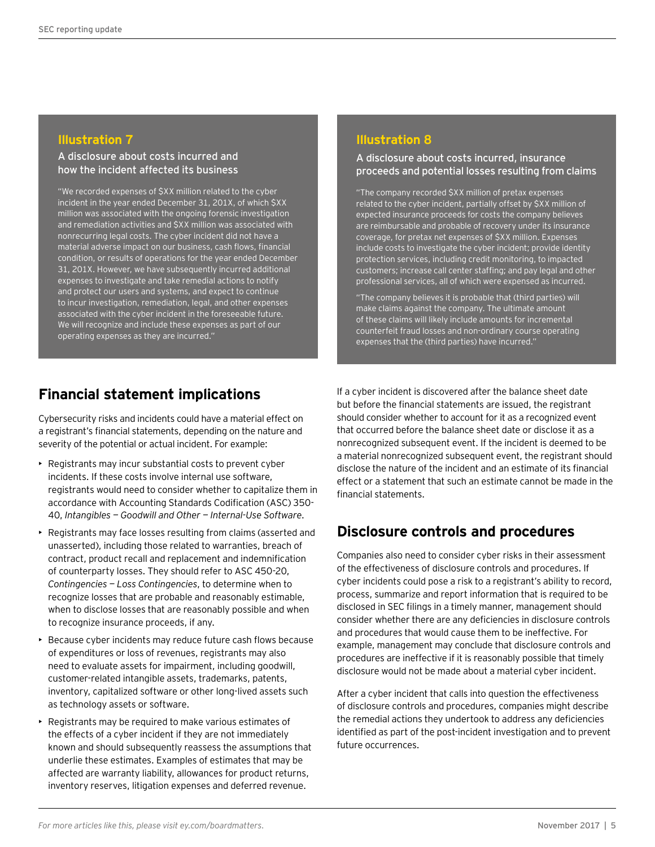#### **Illustration 7**

#### A disclosure about costs incurred and how the incident affected its business

"We recorded expenses of \$XX million related to the cyber incident in the year ended December 31, 201X, of which \$XX million was associated with the ongoing forensic investigation and remediation activities and \$XX million was associated with nonrecurring legal costs. The cyber incident did not have a material adverse impact on our business, cash flows, financial condition, or results of operations for the year ended December 31, 201X. However, we have subsequently incurred additional expenses to investigate and take remedial actions to notify and protect our users and systems, and expect to continue to incur investigation, remediation, legal, and other expenses associated with the cyber incident in the foreseeable future. We will recognize and include these expenses as part of our operating expenses as they are incurred."

# **Financial statement implications**

Cybersecurity risks and incidents could have a material effect on a registrant's financial statements, depending on the nature and severity of the potential or actual incident. For example:

- Registrants may incur substantial costs to prevent cyber incidents. If these costs involve internal use software, registrants would need to consider whether to capitalize them in accordance with Accounting Standards Codification (ASC) 350- 40, *Intangibles — Goodwill and Other — Internal-Use Software*.
- Registrants may face losses resulting from claims (asserted and unasserted), including those related to warranties, breach of contract, product recall and replacement and indemnification of counterparty losses. They should refer to ASC 450-20, *Contingencies — Loss Contingencies*, to determine when to recognize losses that are probable and reasonably estimable, when to disclose losses that are reasonably possible and when to recognize insurance proceeds, if any.
- Because cyber incidents may reduce future cash flows because of expenditures or loss of revenues, registrants may also need to evaluate assets for impairment, including goodwill, customer-related intangible assets, trademarks, patents, inventory, capitalized software or other long-lived assets such as technology assets or software.
- Registrants may be required to make various estimates of the effects of a cyber incident if they are not immediately known and should subsequently reassess the assumptions that underlie these estimates. Examples of estimates that may be affected are warranty liability, allowances for product returns, inventory reserves, litigation expenses and deferred revenue.

#### **Illustration 8**

#### A disclosure about costs incurred, insurance proceeds and potential losses resulting from claims

"The company recorded \$XX million of pretax expenses related to the cyber incident, partially offset by \$XX million of expected insurance proceeds for costs the company believes are reimbursable and probable of recovery under its insurance coverage, for pretax net expenses of \$XX million. Expenses include costs to investigate the cyber incident; provide identity protection services, including credit monitoring, to impacted customers; increase call center staffing; and pay legal and other professional services, all of which were expensed as incurred.

"The company believes it is probable that (third parties) will make claims against the company. The ultimate amount of these claims will likely include amounts for incremental counterfeit fraud losses and non-ordinary course operating expenses that the (third parties) have incurred."

If a cyber incident is discovered after the balance sheet date but before the financial statements are issued, the registrant should consider whether to account for it as a recognized event that occurred before the balance sheet date or disclose it as a nonrecognized subsequent event. If the incident is deemed to be a material nonrecognized subsequent event, the registrant should disclose the nature of the incident and an estimate of its financial effect or a statement that such an estimate cannot be made in the financial statements.

# **Disclosure controls and procedures**

Companies also need to consider cyber risks in their assessment of the effectiveness of disclosure controls and procedures. If cyber incidents could pose a risk to a registrant's ability to record, process, summarize and report information that is required to be disclosed in SEC filings in a timely manner, management should consider whether there are any deficiencies in disclosure controls and procedures that would cause them to be ineffective. For example, management may conclude that disclosure controls and procedures are ineffective if it is reasonably possible that timely disclosure would not be made about a material cyber incident.

After a cyber incident that calls into question the effectiveness of disclosure controls and procedures, companies might describe the remedial actions they undertook to address any deficiencies identified as part of the post-incident investigation and to prevent future occurrences.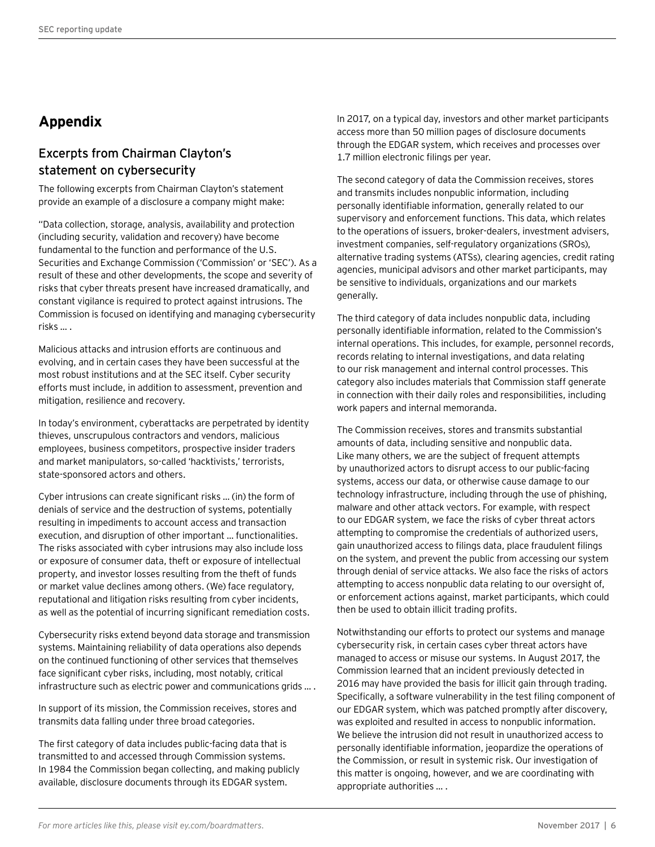# **Appendix**

# Excerpts from Chairman Clayton's statement on cybersecurity

The following excerpts from Chairman Clayton's statement provide an example of a disclosure a company might make:

"Data collection, storage, analysis, availability and protection (including security, validation and recovery) have become fundamental to the function and performance of the U.S. Securities and Exchange Commission ('Commission' or 'SEC'). As a result of these and other developments, the scope and severity of risks that cyber threats present have increased dramatically, and constant vigilance is required to protect against intrusions. The Commission is focused on identifying and managing cybersecurity risks … .

Malicious attacks and intrusion efforts are continuous and evolving, and in certain cases they have been successful at the most robust institutions and at the SEC itself. Cyber security efforts must include, in addition to assessment, prevention and mitigation, resilience and recovery.

In today's environment, cyberattacks are perpetrated by identity thieves, unscrupulous contractors and vendors, malicious employees, business competitors, prospective insider traders and market manipulators, so-called 'hacktivists,' terrorists, state-sponsored actors and others.

Cyber intrusions can create significant risks … (in) the form of denials of service and the destruction of systems, potentially resulting in impediments to account access and transaction execution, and disruption of other important … functionalities. The risks associated with cyber intrusions may also include loss or exposure of consumer data, theft or exposure of intellectual property, and investor losses resulting from the theft of funds or market value declines among others. (We) face regulatory, reputational and litigation risks resulting from cyber incidents, as well as the potential of incurring significant remediation costs.

Cybersecurity risks extend beyond data storage and transmission systems. Maintaining reliability of data operations also depends on the continued functioning of other services that themselves face significant cyber risks, including, most notably, critical infrastructure such as electric power and communications grids … .

In support of its mission, the Commission receives, stores and transmits data falling under three broad categories.

The first category of data includes public-facing data that is transmitted to and accessed through Commission systems. In 1984 the Commission began collecting, and making publicly available, disclosure documents through its EDGAR system.

In 2017, on a typical day, investors and other market participants access more than 50 million pages of disclosure documents through the EDGAR system, which receives and processes over 1.7 million electronic filings per year.

The second category of data the Commission receives, stores and transmits includes nonpublic information, including personally identifiable information, generally related to our supervisory and enforcement functions. This data, which relates to the operations of issuers, broker-dealers, investment advisers, investment companies, self-regulatory organizations (SROs), alternative trading systems (ATSs), clearing agencies, credit rating agencies, municipal advisors and other market participants, may be sensitive to individuals, organizations and our markets generally.

The third category of data includes nonpublic data, including personally identifiable information, related to the Commission's internal operations. This includes, for example, personnel records, records relating to internal investigations, and data relating to our risk management and internal control processes. This category also includes materials that Commission staff generate in connection with their daily roles and responsibilities, including work papers and internal memoranda.

The Commission receives, stores and transmits substantial amounts of data, including sensitive and nonpublic data. Like many others, we are the subject of frequent attempts by unauthorized actors to disrupt access to our public-facing systems, access our data, or otherwise cause damage to our technology infrastructure, including through the use of phishing, malware and other attack vectors. For example, with respect to our EDGAR system, we face the risks of cyber threat actors attempting to compromise the credentials of authorized users, gain unauthorized access to filings data, place fraudulent filings on the system, and prevent the public from accessing our system through denial of service attacks. We also face the risks of actors attempting to access nonpublic data relating to our oversight of, or enforcement actions against, market participants, which could then be used to obtain illicit trading profits.

Notwithstanding our efforts to protect our systems and manage cybersecurity risk, in certain cases cyber threat actors have managed to access or misuse our systems. In August 2017, the Commission learned that an incident previously detected in 2016 may have provided the basis for illicit gain through trading. Specifically, a software vulnerability in the test filing component of our EDGAR system, which was patched promptly after discovery, was exploited and resulted in access to nonpublic information. We believe the intrusion did not result in unauthorized access to personally identifiable information, jeopardize the operations of the Commission, or result in systemic risk. Our investigation of this matter is ongoing, however, and we are coordinating with appropriate authorities … .